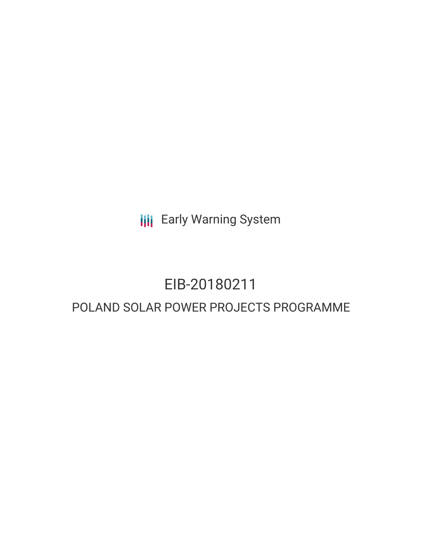**III** Early Warning System

# EIB-20180211 POLAND SOLAR POWER PROJECTS PROGRAMME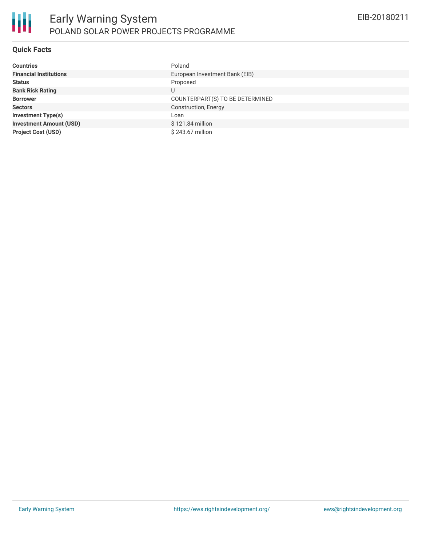

#### **Quick Facts**

| <b>Countries</b>               | Poland                          |
|--------------------------------|---------------------------------|
| <b>Financial Institutions</b>  | European Investment Bank (EIB)  |
| <b>Status</b>                  | Proposed                        |
| <b>Bank Risk Rating</b>        | U                               |
| <b>Borrower</b>                | COUNTERPART(S) TO BE DETERMINED |
| <b>Sectors</b>                 | Construction, Energy            |
| <b>Investment Type(s)</b>      | Loan                            |
| <b>Investment Amount (USD)</b> | \$121.84 million                |
| <b>Project Cost (USD)</b>      | \$243.67 million                |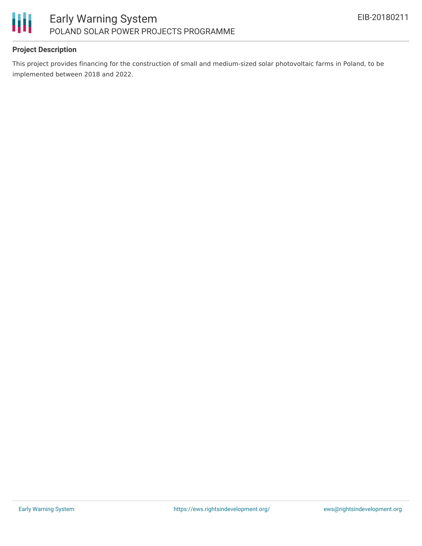

# **Project Description**

This project provides financing for the construction of small and medium-sized solar photovoltaic farms in Poland, to be implemented between 2018 and 2022.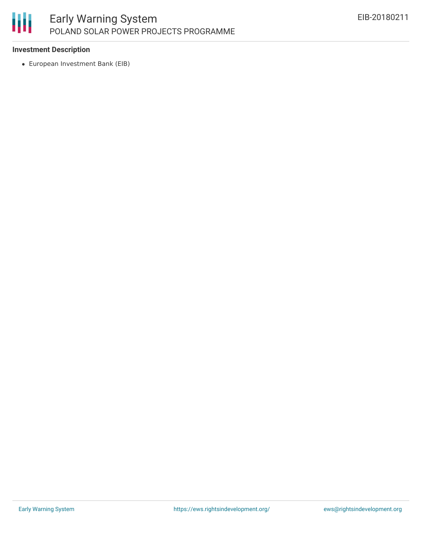

## **Investment Description**

European Investment Bank (EIB)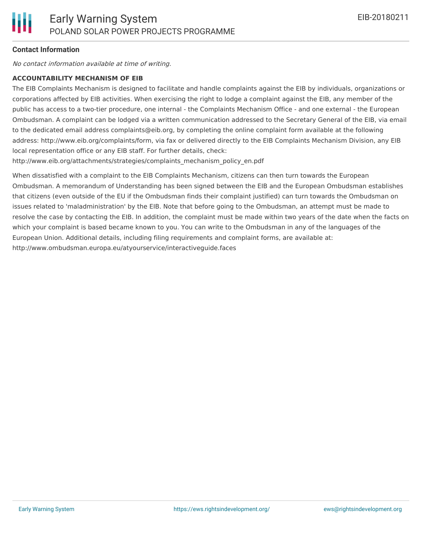#### **Contact Information**

No contact information available at time of writing.

#### **ACCOUNTABILITY MECHANISM OF EIB**

The EIB Complaints Mechanism is designed to facilitate and handle complaints against the EIB by individuals, organizations or corporations affected by EIB activities. When exercising the right to lodge a complaint against the EIB, any member of the public has access to a two-tier procedure, one internal - the Complaints Mechanism Office - and one external - the European Ombudsman. A complaint can be lodged via a written communication addressed to the Secretary General of the EIB, via email to the dedicated email address complaints@eib.org, by completing the online complaint form available at the following address: http://www.eib.org/complaints/form, via fax or delivered directly to the EIB Complaints Mechanism Division, any EIB local representation office or any EIB staff. For further details, check:

http://www.eib.org/attachments/strategies/complaints\_mechanism\_policy\_en.pdf

When dissatisfied with a complaint to the EIB Complaints Mechanism, citizens can then turn towards the European Ombudsman. A memorandum of Understanding has been signed between the EIB and the European Ombudsman establishes that citizens (even outside of the EU if the Ombudsman finds their complaint justified) can turn towards the Ombudsman on issues related to 'maladministration' by the EIB. Note that before going to the Ombudsman, an attempt must be made to resolve the case by contacting the EIB. In addition, the complaint must be made within two years of the date when the facts on which your complaint is based became known to you. You can write to the Ombudsman in any of the languages of the European Union. Additional details, including filing requirements and complaint forms, are available at: http://www.ombudsman.europa.eu/atyourservice/interactiveguide.faces